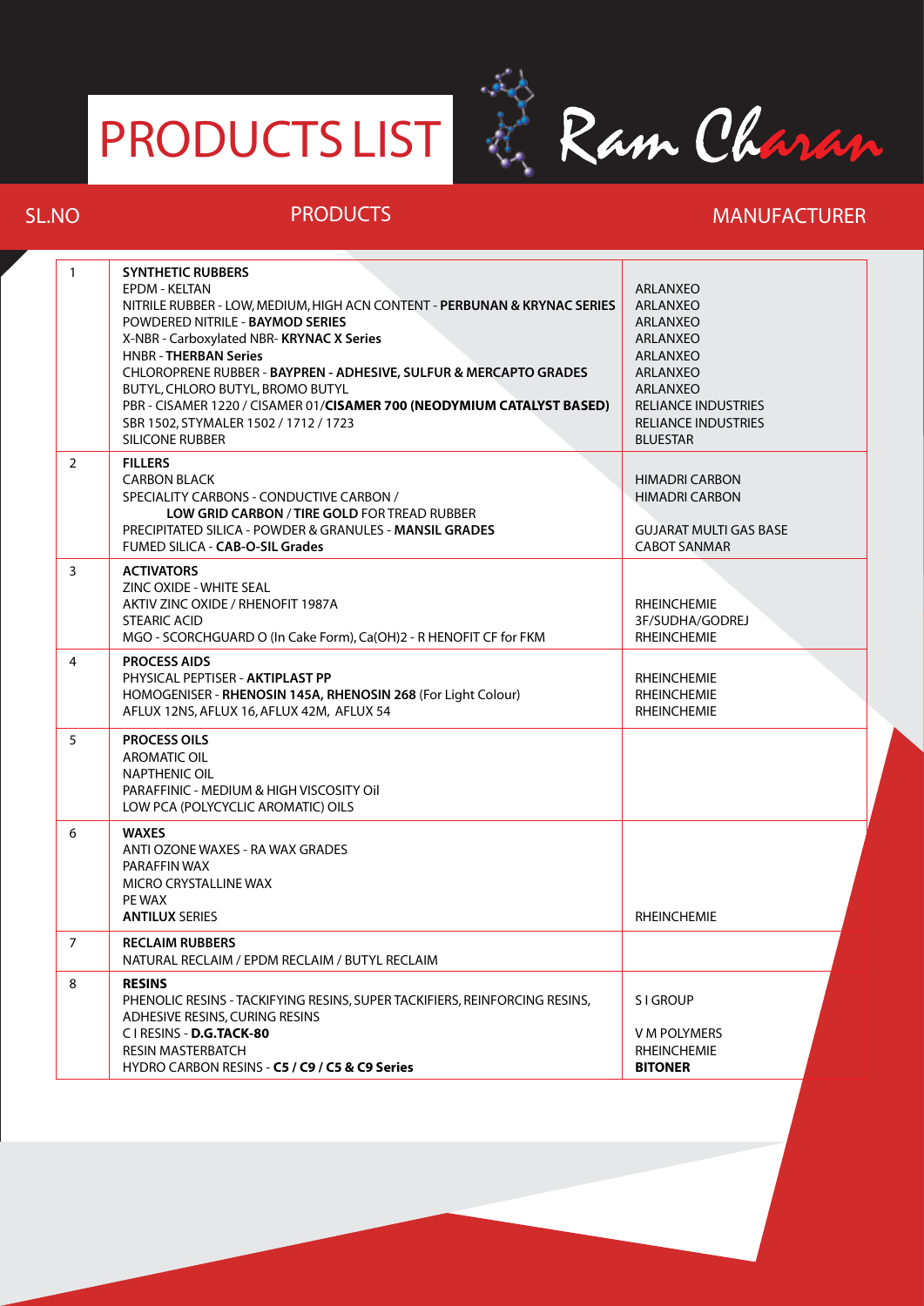## PRODUCTS LIST



## **SL.NO PRODUCTS MANUFACTURER**

| $\mathbf{1}$   | <b>SYNTHETIC RUBBERS</b><br>EPDM - KELTAN<br>NITRILE RUBBER - LOW, MEDIUM, HIGH ACN CONTENT - PERBUNAN & KRYNAC SERIES<br>POWDERED NITRILE - BAYMOD SERIES<br>X-NBR - Carboxylated NBR- KRYNAC X Series<br><b>HNBR - THERBAN Series</b><br>CHLOROPRENE RUBBER - BAYPREN - ADHESIVE, SULFUR & MERCAPTO GRADES<br>BUTYL, CHLORO BUTYL, BROMO BUTYL<br>PBR - CISAMER 1220 / CISAMER 01/CISAMER 700 (NEODYMIUM CATALYST BASED)<br>SBR 1502. STYMALER 1502 / 1712 / 1723<br>SILICONE RUBBER | ARLANXEO<br><b>ARLANXEO</b><br><b>ARLANXEO</b><br><b>ARLANXEO</b><br>ARLANXEO<br><b>ARLANXEO</b><br>ARLANXEO<br><b>RELIANCE INDUSTRIES</b><br><b>RELIANCE INDUSTRIES</b><br><b>BLUESTAR</b> |
|----------------|----------------------------------------------------------------------------------------------------------------------------------------------------------------------------------------------------------------------------------------------------------------------------------------------------------------------------------------------------------------------------------------------------------------------------------------------------------------------------------------|---------------------------------------------------------------------------------------------------------------------------------------------------------------------------------------------|
| $\overline{2}$ | <b>FILLERS</b><br><b>CARBON BLACK</b><br>SPECIALITY CARBONS - CONDUCTIVE CARBON /<br>LOW GRID CARBON / TIRE GOLD FOR TREAD RUBBER<br>PRECIPITATED SILICA - POWDER & GRANULES - MANSIL GRADES<br>FUMED SILICA - CAB-O-SIL Grades                                                                                                                                                                                                                                                        | <b>HIMADRI CARBON</b><br><b>HIMADRI CARBON</b><br><b>GUJARAT MULTI GAS BASE</b><br><b>CABOT SANMAR</b>                                                                                      |
| $\overline{3}$ | <b>ACTIVATORS</b><br>ZINC OXIDE - WHITE SEAL<br>AKTIV ZINC OXIDE / RHENOFIT 1987A<br><b>STEARIC ACID</b><br>MGO - SCORCHGUARD O (In Cake Form), Ca(OH)2 - R HENOFIT CF for FKM                                                                                                                                                                                                                                                                                                         | <b>RHEINCHEMIE</b><br>3F/SUDHA/GODREJ<br><b>RHEINCHEMIE</b>                                                                                                                                 |
| 4              | <b>PROCESS AIDS</b><br>PHYSICAL PEPTISER - AKTIPLAST PP<br>HOMOGENISER - RHENOSIN 145A, RHENOSIN 268 (For Light Colour)<br>AFLUX 12NS, AFLUX 16, AFLUX 42M, AFLUX 54                                                                                                                                                                                                                                                                                                                   | <b>RHEINCHEMIE</b><br><b>RHEINCHEMIE</b><br><b>RHEINCHEMIE</b>                                                                                                                              |
| 5              | <b>PROCESS OILS</b><br><b>AROMATIC OIL</b><br><b>NAPTHENIC OIL</b><br>PARAFFINIC - MEDIUM & HIGH VISCOSITY OIL<br>LOW PCA (POLYCYCLIC AROMATIC) OILS                                                                                                                                                                                                                                                                                                                                   |                                                                                                                                                                                             |
| 6              | <b>WAXES</b><br>ANTI OZONE WAXES - RA WAX GRADES<br>PARAFFIN WAX<br>MICRO CRYSTALLINE WAX<br>PE WAX<br><b>ANTILUX SERIES</b>                                                                                                                                                                                                                                                                                                                                                           | <b>RHEINCHEMIE</b>                                                                                                                                                                          |
| $\overline{7}$ | <b>RECLAIM RUBBERS</b><br>NATURAL RECLAIM / EPDM RECLAIM / BUTYL RECLAIM                                                                                                                                                                                                                                                                                                                                                                                                               |                                                                                                                                                                                             |
| 8              | <b>RESINS</b><br>PHENOLIC RESINS - TACKIFYING RESINS, SUPER TACKIFIERS, REINFORCING RESINS,<br>ADHESIVE RESINS, CURING RESINS<br>C I RESINS - D.G.TACK-80<br><b>RESIN MASTERBATCH</b><br>HYDRO CARBON RESINS - C5 / C9 / C5 & C9 Series                                                                                                                                                                                                                                                | <b>SIGROUP</b><br>V M POLYMERS<br><b>RHEINCHEMIE</b><br><b>BITONER</b>                                                                                                                      |